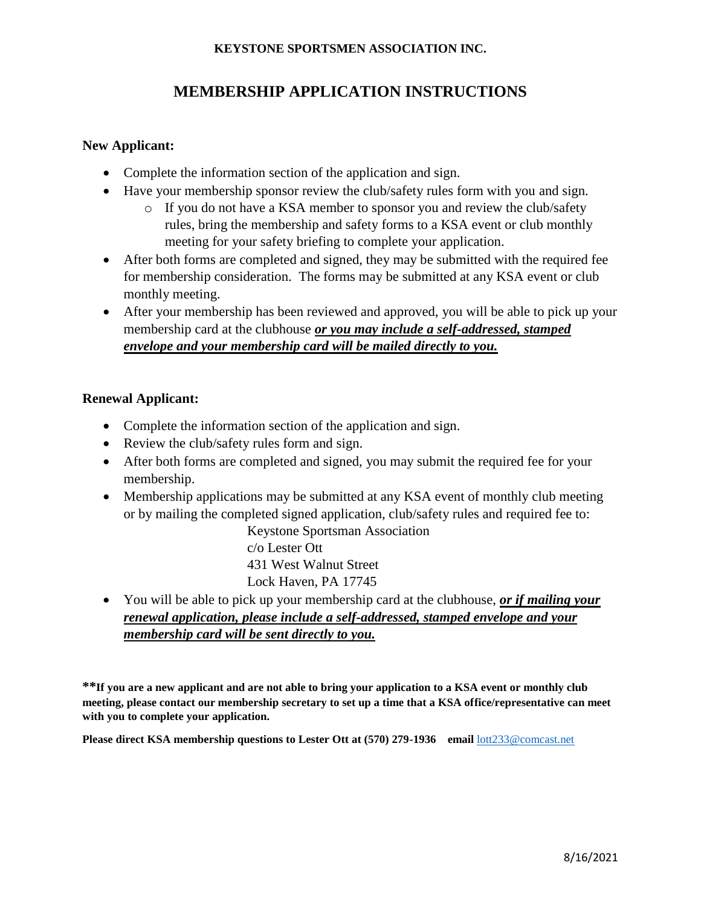# **MEMBERSHIP APPLICATION INSTRUCTIONS**

### **New Applicant:**

- Complete the information section of the application and sign.
- Have your membership sponsor review the club/safety rules form with you and sign.
	- o If you do not have a KSA member to sponsor you and review the club/safety rules, bring the membership and safety forms to a KSA event or club monthly meeting for your safety briefing to complete your application.
- After both forms are completed and signed, they may be submitted with the required fee for membership consideration. The forms may be submitted at any KSA event or club monthly meeting.
- After your membership has been reviewed and approved, you will be able to pick up your membership card at the clubhouse *or you may include a self-addressed, stamped envelope and your membership card will be mailed directly to you.*

## **Renewal Applicant:**

- Complete the information section of the application and sign.
- Review the club/safety rules form and sign.
- After both forms are completed and signed, you may submit the required fee for your membership.
- Membership applications may be submitted at any KSA event of monthly club meeting or by mailing the completed signed application, club/safety rules and required fee to:

Keystone Sportsman Association c/o Lester Ott 431 West Walnut Street Lock Haven, PA 17745

 You will be able to pick up your membership card at the clubhouse, *or if mailing your renewal application, please include a self-addressed, stamped envelope and your membership card will be sent directly to you.*

**\*\*If you are a new applicant and are not able to bring your application to a KSA event or monthly club meeting, please contact our membership secretary to set up a time that a KSA office/representative can meet with you to complete your application.**

**Please direct KSA membership questions to Lester Ott at (570) 279-1936 email** [lott233@comcast.net](mailto:lott233@comcast.net)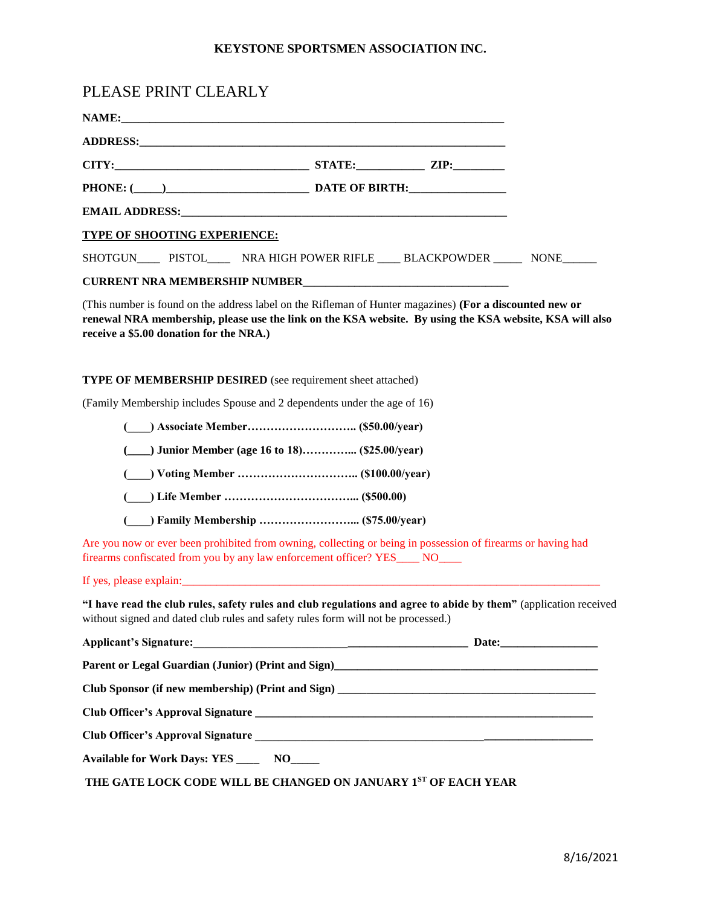| PLEASE PRINT CLEARLY                                                                                                                                |                                                     |                                                                                                                                |
|-----------------------------------------------------------------------------------------------------------------------------------------------------|-----------------------------------------------------|--------------------------------------------------------------------------------------------------------------------------------|
|                                                                                                                                                     |                                                     |                                                                                                                                |
|                                                                                                                                                     |                                                     |                                                                                                                                |
|                                                                                                                                                     |                                                     |                                                                                                                                |
|                                                                                                                                                     |                                                     |                                                                                                                                |
|                                                                                                                                                     |                                                     |                                                                                                                                |
| <b>TYPE OF SHOOTING EXPERIENCE:</b>                                                                                                                 |                                                     |                                                                                                                                |
|                                                                                                                                                     |                                                     | SHOTGUN________ PISTOL_________ NRA HIGH POWER RIFLE ______ BLACKPOWDER _________ NONE_______                                  |
|                                                                                                                                                     |                                                     |                                                                                                                                |
| (This number is found on the address label on the Rifleman of Hunter magazines) (For a discounted new or<br>receive a \$5.00 donation for the NRA.) |                                                     | renewal NRA membership, please use the link on the KSA website. By using the KSA website, KSA will also                        |
| <b>TYPE OF MEMBERSHIP DESIRED</b> (see requirement sheet attached)                                                                                  |                                                     |                                                                                                                                |
| (Family Membership includes Spouse and 2 dependents under the age of 16)                                                                            |                                                     |                                                                                                                                |
|                                                                                                                                                     |                                                     |                                                                                                                                |
|                                                                                                                                                     | (_____) Junior Member (age 16 to 18) (\$25.00/year) |                                                                                                                                |
|                                                                                                                                                     |                                                     |                                                                                                                                |
|                                                                                                                                                     |                                                     |                                                                                                                                |
|                                                                                                                                                     |                                                     |                                                                                                                                |
| firearms confiscated from you by any law enforcement officer? YES____ NO____                                                                        |                                                     | Are you now or ever been prohibited from owning, collecting or being in possession of firearms or having had                   |
| If yes, please explain:                                                                                                                             |                                                     |                                                                                                                                |
| without signed and dated club rules and safety rules form will not be processed.)                                                                   |                                                     | "I have read the club rules, safety rules and club regulations and agree to abide by them" (application received               |
|                                                                                                                                                     |                                                     |                                                                                                                                |
|                                                                                                                                                     |                                                     | Parent or Legal Guardian (Junior) (Print and Sign)<br><u>Legal Guardian</u> (Junior) (Print and Sign)<br><u>Legal Guardian</u> |
|                                                                                                                                                     |                                                     |                                                                                                                                |
|                                                                                                                                                     |                                                     |                                                                                                                                |
|                                                                                                                                                     |                                                     |                                                                                                                                |
| Available for Work Days: YES ______ NO_____                                                                                                         |                                                     |                                                                                                                                |
| THE GATE LOCK CODE WILL BE CHANGED ON JANUARY 1ST OF EACH YEAR                                                                                      |                                                     |                                                                                                                                |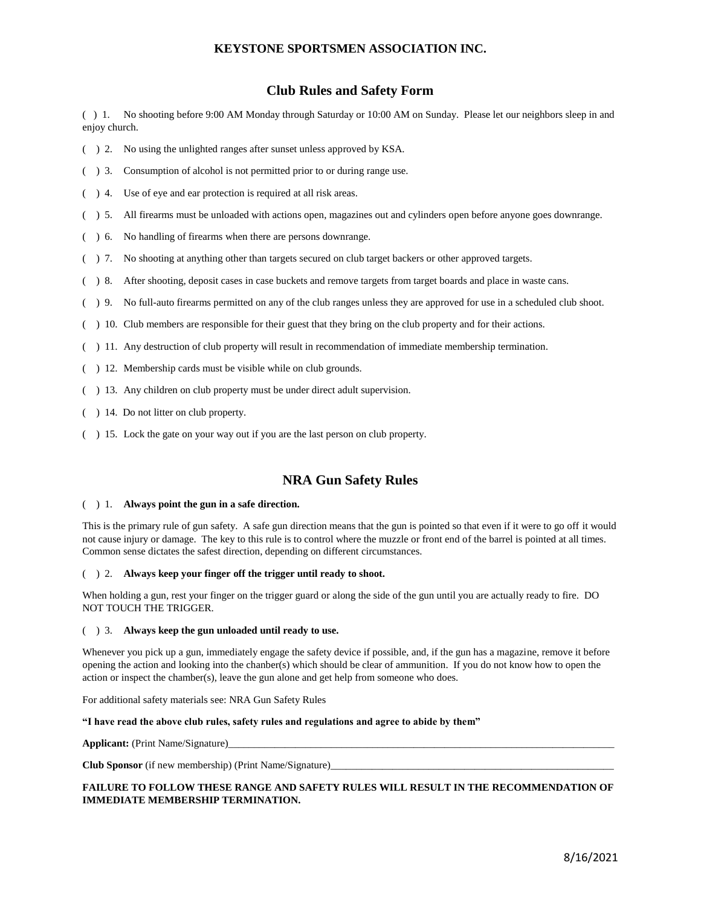### **Club Rules and Safety Form**

( ) 1. No shooting before 9:00 AM Monday through Saturday or 10:00 AM on Sunday. Please let our neighbors sleep in and enjoy church.

- ( ) 2. No using the unlighted ranges after sunset unless approved by KSA.
- ( ) 3. Consumption of alcohol is not permitted prior to or during range use.
- ( ) 4. Use of eye and ear protection is required at all risk areas.
- ( ) 5. All firearms must be unloaded with actions open, magazines out and cylinders open before anyone goes downrange.
- ( ) 6. No handling of firearms when there are persons downrange.
- ( ) 7. No shooting at anything other than targets secured on club target backers or other approved targets.
- ( ) 8. After shooting, deposit cases in case buckets and remove targets from target boards and place in waste cans.
- ( ) 9. No full-auto firearms permitted on any of the club ranges unless they are approved for use in a scheduled club shoot.
- ( ) 10. Club members are responsible for their guest that they bring on the club property and for their actions.
- ( ) 11. Any destruction of club property will result in recommendation of immediate membership termination.
- ( ) 12. Membership cards must be visible while on club grounds.
- ( ) 13. Any children on club property must be under direct adult supervision.
- ( ) 14. Do not litter on club property.
- ( ) 15. Lock the gate on your way out if you are the last person on club property.

### **NRA Gun Safety Rules**

#### ( ) 1. **Always point the gun in a safe direction.**

This is the primary rule of gun safety. A safe gun direction means that the gun is pointed so that even if it were to go off it would not cause injury or damage. The key to this rule is to control where the muzzle or front end of the barrel is pointed at all times. Common sense dictates the safest direction, depending on different circumstances.

#### ( ) 2. **Always keep your finger off the trigger until ready to shoot.**

When holding a gun, rest your finger on the trigger guard or along the side of the gun until you are actually ready to fire. DO NOT TOUCH THE TRIGGER.

#### ( ) 3. **Always keep the gun unloaded until ready to use.**

Whenever you pick up a gun, immediately engage the safety device if possible, and, if the gun has a magazine, remove it before opening the action and looking into the chanber(s) which should be clear of ammunition. If you do not know how to open the action or inspect the chamber(s), leave the gun alone and get help from someone who does.

For additional safety materials see: NRA Gun Safety Rules

#### **"I have read the above club rules, safety rules and regulations and agree to abide by them"**

**Applicant:** (Print Name/Signature)

**Club Sponsor** (if new membership) (Print Name/Signature)\_\_\_\_\_\_\_\_\_\_\_\_\_\_\_\_\_\_\_\_\_\_\_\_\_\_\_\_\_\_\_\_\_\_\_\_\_\_\_\_\_\_\_\_\_\_\_\_\_\_\_\_\_\_\_

### **FAILURE TO FOLLOW THESE RANGE AND SAFETY RULES WILL RESULT IN THE RECOMMENDATION OF IMMEDIATE MEMBERSHIP TERMINATION.**